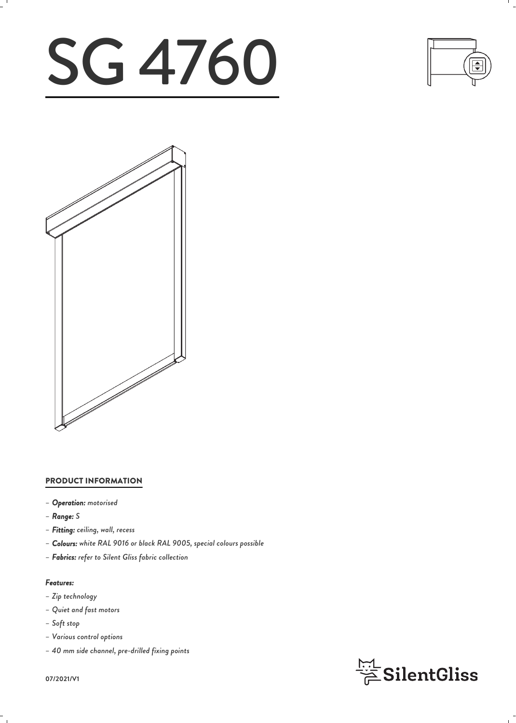# SG 4760





### PRODUCT INFORMATION

- *– Operation: motorised*
- *– Range: S*
- *– Fitting: ceiling, wall, recess*
- *– Colours: white RAL 9016 or black RAL 9005, special colours possible*
- *– Fabrics: refer to Silent Gliss fabric collection*

### *Features:*

- *– Zip technology*
- *– Quiet and fast motors*
- *– Soft stop*
- *– Various control options*
- *– 40 mm side channel, pre-drilled fixing points*

**07/2021/V1**

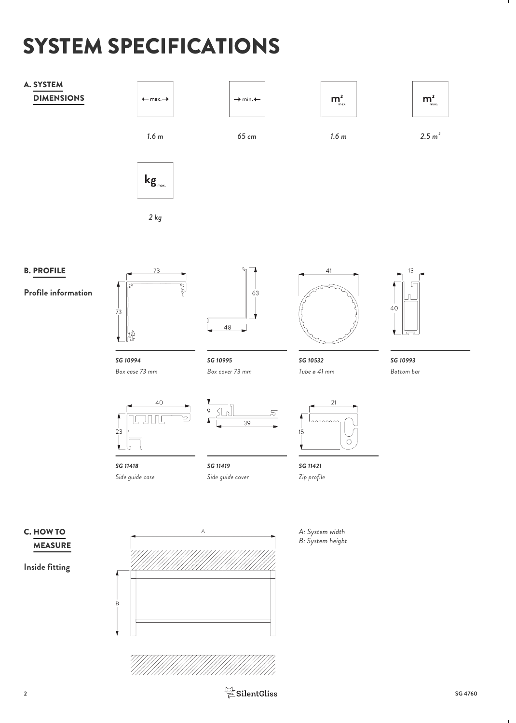# SYSTEM SPECIFICATIONS



 $\frac{\frac{1}{111}}{\hat{C}}$ SilentGliss SG 4760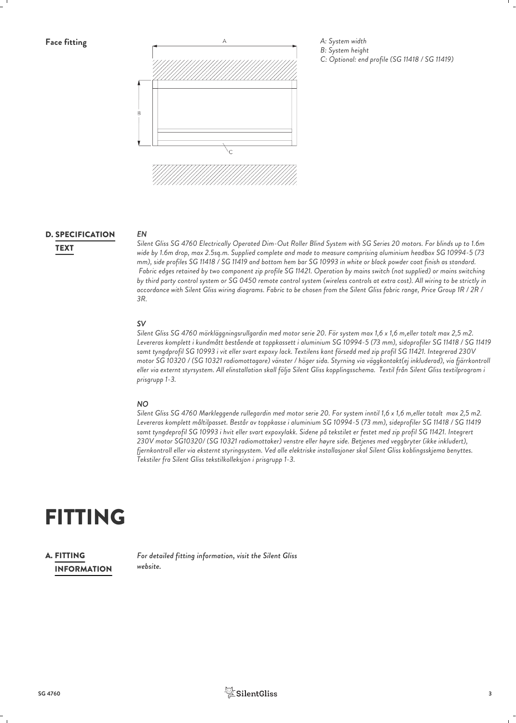

*B: System height* 

*C: Optional: end profile (SG 11418 / SG 11419)*

### D. SPECIFICATION EN EN

*EN*

*Silent Gliss SG 4760 Electrically Operated Dim-Out Roller Blind System with SG Series 20 motors. For blinds up to 1.6m wide by 1.6m drop, max 2.5sq.m. Supplied complete and made to measure comprising aluminium headbox SG 10994-5 (73* TEXT *mm), side profiles SG 11418 / SG 11419 and bottom hem bar SG 10993 in white or black powder coat finish as standard. Fabric edges retained by two component zip profile SG 11421. Operation by mains switch (not supplied) or mains switching by third party control system or SG 0450 remote control system (wireless controls at extra cost). All wiring to be strictly in accordance with Silent Gliss wiring diagrams. Fabric to be chosen from the Silent Gliss fabric range, Price Group 1R / 2R / 3R.*

*SV Silent Gliss SG 4760 mörkläggningsrullgardin med motor serie 20. För system max 1,6 x 1,6 m,eller totalt max 2,5 m2. Levereras komplett i kundmått bestående at toppkassett i aluminium SG 10994-5 (73 mm), sidoprofiler SG 11418 / SG 11419 samt tyngdprofil SG 10993 i vit eller svart expoxy lack. Textilens kant försedd med zip profil SG 11421. Integrerad 230V motor SG 10320 / (SG 10321 radiomottagare) vänster / höger sida. Styrning via väggkontakt(ej inkluderad), via fjärrkontroll eller via externt styrsystem. All elinstallation skall följa Silent Gliss kopplingsschema. Textil från Silent Gliss textilprogram i prisgrupp 1-3.*

### *NO*

*Silent Gliss SG 4760 Mørkleggende rullegardin med motor serie 20. For system inntil 1,6 x 1,6 m,eller totalt max 2,5 m2. Levereras komplett måltilpasset. Består av toppkasse i aluminium SG 10994-5 (73 mm), sideprofiler SG 11418 / SG 11419 samt tyngdeprofil SG 10993 i hvit eller svart expoxylakk. Sidene på tekstilet er festet med zip profil SG 11421. Integrert 230V motor SG10320/ (SG 10321 radiomottaker) venstre eller høyre side. Betjenes med veggbryter (ikke inkludert), fjernkontroll eller via eksternt styringsystem. Ved alle elektriske installasjoner skal Silent Gliss koblingsskjema benyttes. Tekstiler fra Silent Gliss tekstilkolleksjon i prisgrupp 1-3.*

## FITTING

INFORMATION **A. FITTING** 

*For detailed fitting information, visit the Silent Gliss* FITTING *website.*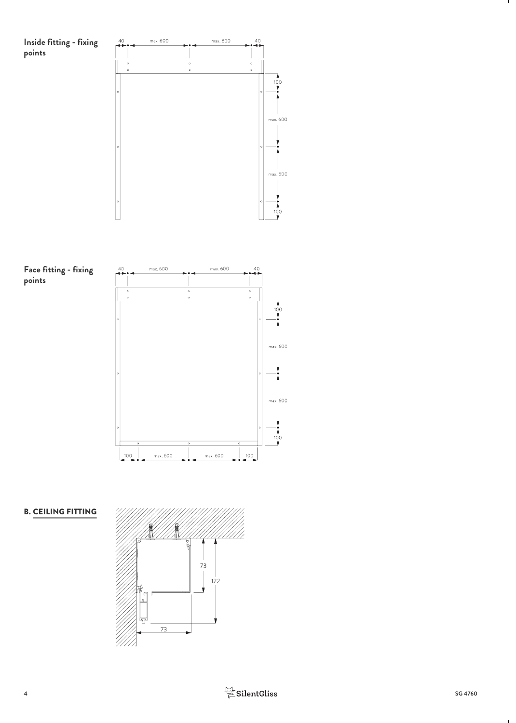

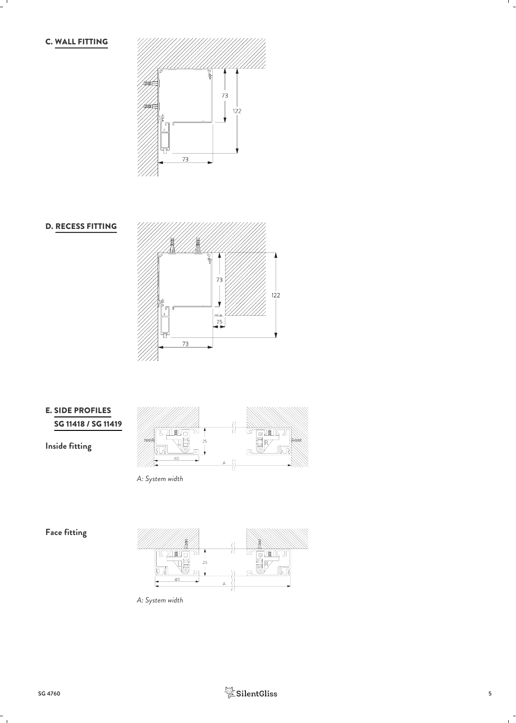C. WALL FITTING











**Face fitting**



*A: System width*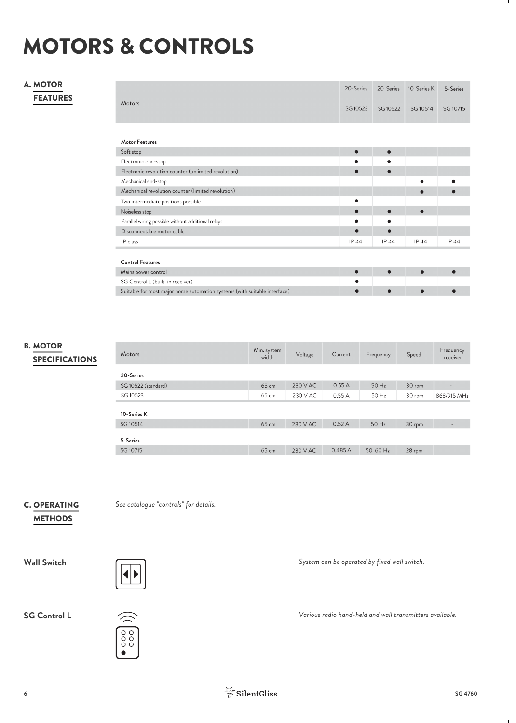### MOTORS & CONTROLS

### FEATURES

| A. MOTOR        | Motors                                                                    | 20-Series |           | 20-Series 10-Series K | 5-Series |
|-----------------|---------------------------------------------------------------------------|-----------|-----------|-----------------------|----------|
| <b>FEATURES</b> |                                                                           | SG 10523  | SG 10522  | SG 10514              | SG 10715 |
|                 | <b>Motor Features</b>                                                     |           |           |                       |          |
|                 | Soft stop                                                                 | $\bullet$ | $\bullet$ |                       |          |
|                 | Electronic end-stop                                                       |           | $\bullet$ |                       |          |
|                 | Electronic revolution counter (unlimited revolution)                      |           | $\bullet$ |                       |          |
|                 | Mechanical end-stop                                                       |           |           | $\bullet$             |          |
|                 | Mechanical revolution counter (limited revolution)                        |           |           |                       |          |
|                 | Two intermediate positions possible                                       |           |           |                       |          |
|                 | Noiseless stop                                                            |           | $\bullet$ | $\bullet$             |          |
|                 | Parallel wiring possible without additional relays                        |           | $\bullet$ |                       |          |
|                 | Disconnectable motor cable                                                |           | $\bullet$ |                       |          |
|                 | IP class                                                                  | IP 44     | IP 44     | <b>IP44</b>           | IP44     |
|                 | <b>Control Features</b>                                                   |           |           |                       |          |
|                 | Mains power control                                                       |           | $\bullet$ | $\bullet$             |          |
|                 | SG Control L (built-in receiver)                                          |           |           |                       |          |
|                 | Suitable for most major home automation systems (with suitable interface) |           |           |                       |          |
|                 |                                                                           |           |           |                       |          |

### SPECIFICATIONS

| B. MOTOR<br><b>SPECIFICATIONS</b> | Motors              | Min. system<br>width | Voltage  | Current | Frequency  | Speed    | Frequency<br>receiver    |
|-----------------------------------|---------------------|----------------------|----------|---------|------------|----------|--------------------------|
|                                   | 20-Series           |                      |          |         |            |          |                          |
|                                   | SG 10522 (standard) | 65 cm                | 230 V AC | 0.55A   | $50$ Hz    | 30 rpm   |                          |
|                                   | SG 10523            | 65 cm                | 230 V AC | 0.55A   | 50 Hz      | 30 rpm   | 868/915 MHz              |
|                                   | 10-Series K         |                      |          |         |            |          |                          |
|                                   | SG 10514            | 65 cm                | 230 V AC | 0.52A   | $50$ Hz    | 30 rpm   | $\overline{\phantom{a}}$ |
|                                   | 5-Series            |                      |          |         |            |          |                          |
|                                   | SG 10715            | 65 cm                | 230 V AC | 0.485A  | $50-60$ Hz | $28$ rpm | $\overline{\phantom{a}}$ |

### **METHODS C. OPERATING**

*See catalogue "controls" for details.* OPERATING





Wall Switch System can be operated by fixed wall switch.<br> **EXECUTE:**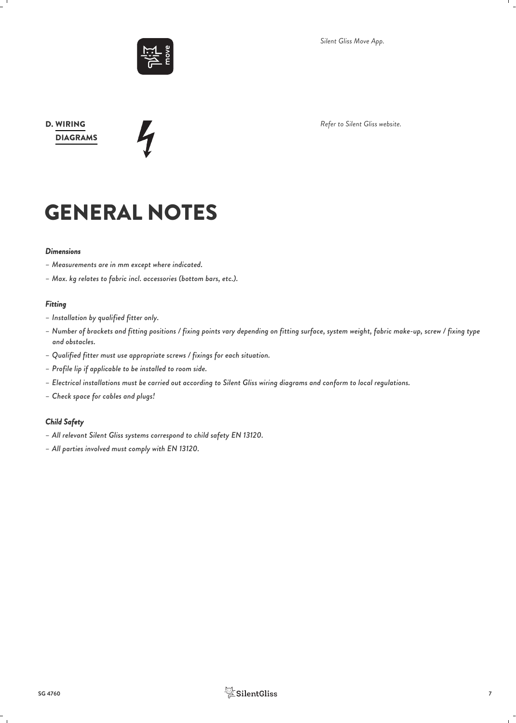*Silent Gliss Move App.*



DIAGRAMS **D. WIRING** 

 $Refer to Silent Gliss website.$ 

### GENERAL NOTES

#### *Dimensions*

- *– Measurements are in mm except where indicated.*
- *– Max. kg relates to fabric incl. accessories (bottom bars, etc.).*

#### *Fitting*

- *– Installation by qualified fitter only.*
- *– Number of brackets and fitting positions / fixing points vary depending on fitting surface, system weight, fabric make-up, screw / fixing type and obstacles.*
- *– Qualified fitter must use appropriate screws / fixings for each situation.*
- *– Profile lip if applicable to be installed to room side.*
- *– Electrical installations must be carried out according to Silent Gliss wiring diagrams and conform to local regulations.*
- *– Check space for cables and plugs!*

#### *Child Safety*

- *– All relevant Silent Gliss systems correspond to child safety EN 13120.*
- *– All parties involved must comply with EN 13120.*

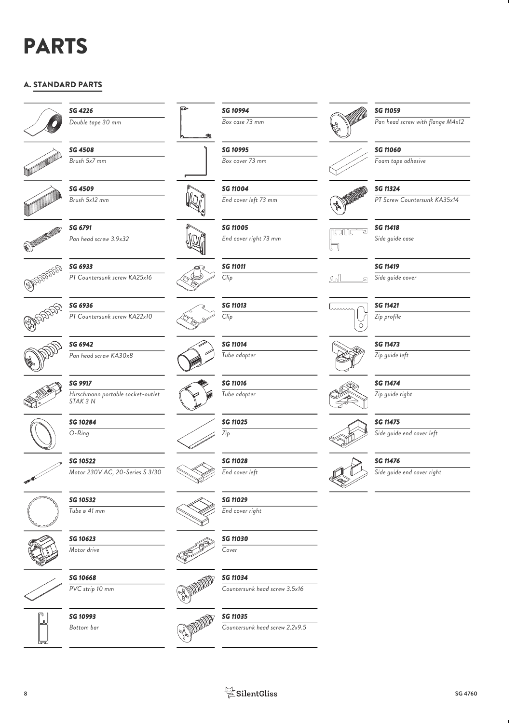# PARTS

### A. STANDARD PARTS



*SG 4226 Double tape 30 mm*

*SG 4508*





*SG 6791 Pan head screw 3.9x32*



**DELLES** 

*SG 6933* **PT Countersunk screw KA25x16** A

**SG 4509**<br>**Brush 5x12 mm** 



*SG 6936* **PT Countersunk screw KA22x10** 



*SG 6942 Pan head screw KA30x8*



*Hirschmann portable socket-outlet STAK 3 N*

*SG 10522 Motor 230V AC, 20-Series S 3/30*

*SG 10532*

*SG 10623 Motor drive*

*SG 10668 PVC strip 10 mm*

*SG 10993 Bottom bar*

*SG 10284 O-Ring*













*SG 10994*

BА

*SG 10995*

*Brush 5x7 mm Box cover 73 mm Foam tape adhesive*

*Brush 5x12 mm End cover left 73 mm SG 11004*

> *SG 11005 End cover right 73 mm*



*SG 11011 Clip*

*SG 11013 Clip*

*SG 11014 Tube adapter*

*SG 11016 Tube adapter*

*SG 11025 Zip*



*SG 11028 End cover left*



*Tube ø 41 mm End cover right SG 11029*









*Countersunk head screw 2.2x9.5*



#### *SG 11059*

*Box case 73 mm Pan head screw with flange M4x12*

### *SG 11060*





*SG 11418*

*PT Screw Countersunk KA35x14*

ज

*Side guide case*

S)



*SG 11419 Side guide cover*

*SG 11421 Zip profile*  $\overline{O}$ 





*Zip guide right*



*SG 11475*

*Side guide end cover left*

*SG 11476*

*Side guide end cover right*

*SG 11474*











*Cover*

*SG 11034*



*SG 11030*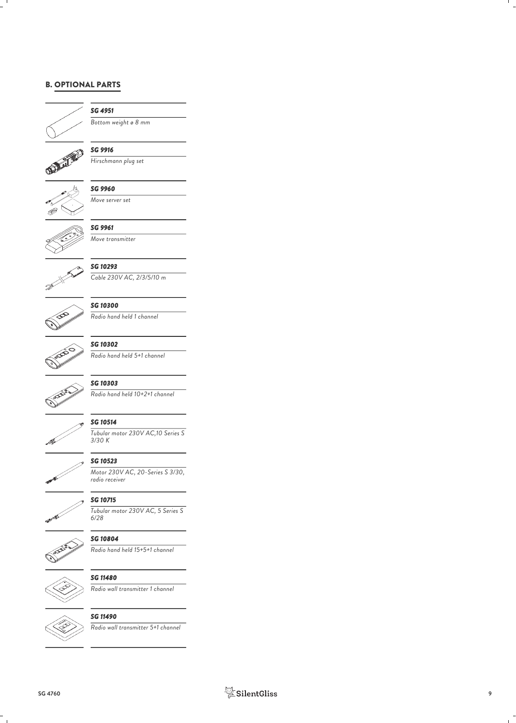### B. OPTIONAL PARTS



#### *SG 4951*

*Bottom weight ø 8 mm*



### *SG 9916*

*Hirschmann plug set*







*SG 9961 Move transmitter*



*SG 10293 Cable 230V AC, 2/3/5/10 m*







### *SG 10302*

*Radio hand held 5+1 channel*



### *SG 10303*

*Radio hand held 10+2+1 channel*



### *SG 10514*

*Tubular motor 230V AC,10 Series S 3/30 K*



### *SG 10523*

*SG 10715*

*Motor 230V AC, 20-Series S 3/30, radio receiver*

*Tubular motor 230V AC, 5 Series S*



### *6/28 SG 10804*

*Radio hand held 15+5+1 channel*



### *SG 11480*

*Radio wall transmitter 1 channel*



### *SG 11490*

*Radio wall transmitter 5+1 channel*

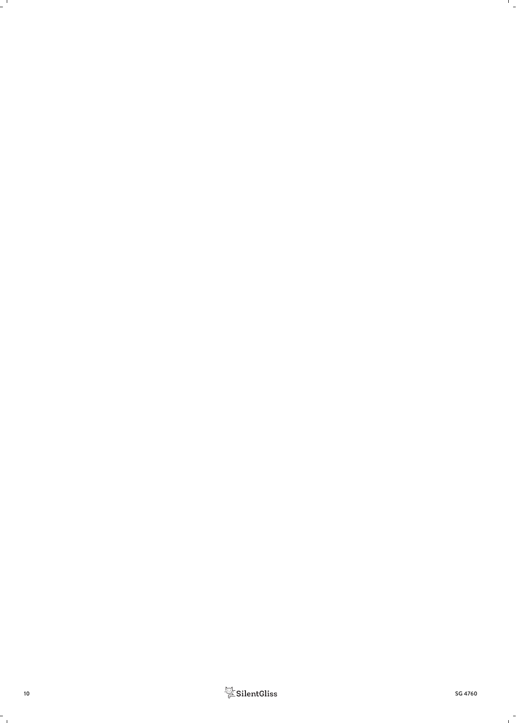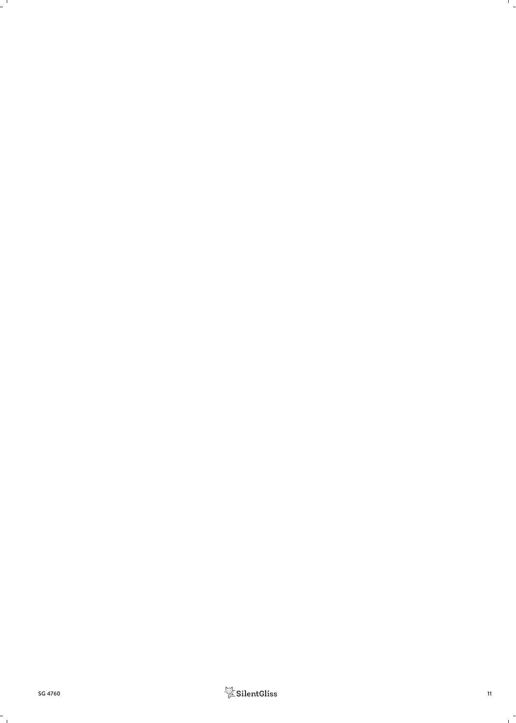